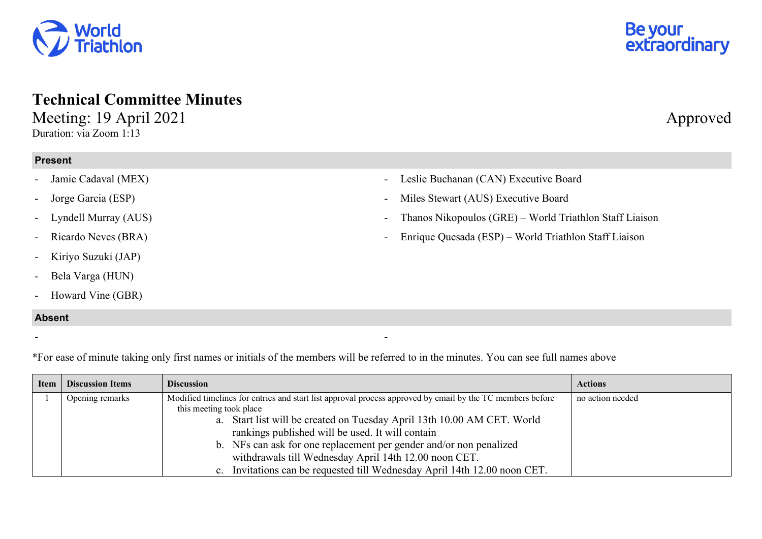## **Technical Committee Minutes**  Meeting: 19 April 2021 Approved

Duration: via Zoom 1:13

## **Present**

- Jamie Cadaval (MEX)
- Jorge Garcia (ESP)
- Lyndell Murray (AUS)
- Ricardo Neves (BRA)
- Kiriyo Suzuki (JAP)
- Bela Varga (HUN)
- Howard Vine (GBR)

## **Absent**

- Leslie Buchanan (CAN) Executive Board

Miles Stewart (AUS) Executive Board

- Thanos Nikopoulos (GRE) World Triathlon Staff Liaison
- Enrique Quesada (ESP) World Triathlon Staff Liaison

\*For ease of minute taking only first names or initials of the members will be referred to in the minutes. You can see full names above

- -

| Item | <b>Discussion Items</b> | <b>Discussion</b>                                                                                         | <b>Actions</b>   |
|------|-------------------------|-----------------------------------------------------------------------------------------------------------|------------------|
|      | Opening remarks         | Modified timelines for entries and start list approval process approved by email by the TC members before | no action needed |
|      |                         | this meeting took place                                                                                   |                  |
|      |                         | a. Start list will be created on Tuesday April 13th 10.00 AM CET. World                                   |                  |
|      |                         | rankings published will be used. It will contain                                                          |                  |
|      |                         | b. NFs can ask for one replacement per gender and/or non penalized                                        |                  |
|      |                         | withdrawals till Wednesday April 14th 12.00 noon CET.                                                     |                  |
|      |                         | c. Invitations can be requested till Wednesday April 14th 12.00 noon CET.                                 |                  |



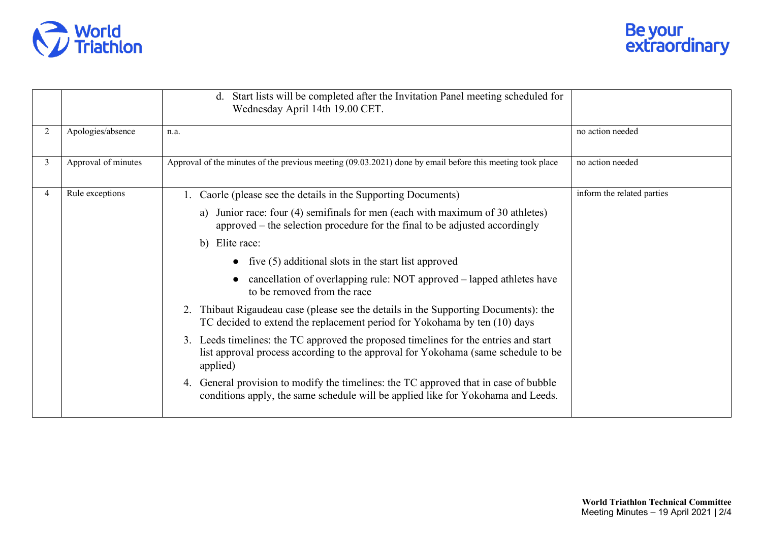

|                |                     | d. Start lists will be completed after the Invitation Panel meeting scheduled for<br>Wednesday April 14th 19.00 CET.                                                                     |                            |
|----------------|---------------------|------------------------------------------------------------------------------------------------------------------------------------------------------------------------------------------|----------------------------|
| 2              | Apologies/absence   | n.a.                                                                                                                                                                                     | no action needed           |
| $\overline{3}$ | Approval of minutes | Approval of the minutes of the previous meeting (09.03.2021) done by email before this meeting took place                                                                                | no action needed           |
| $\overline{4}$ | Rule exceptions     | Caorle (please see the details in the Supporting Documents)                                                                                                                              | inform the related parties |
|                |                     | Junior race: four (4) semifinals for men (each with maximum of 30 athletes)<br>a)<br>approved – the selection procedure for the final to be adjusted accordingly                         |                            |
|                |                     | b) Elite race:                                                                                                                                                                           |                            |
|                |                     | • five $(5)$ additional slots in the start list approved                                                                                                                                 |                            |
|                |                     | cancellation of overlapping rule: NOT approved – lapped athletes have<br>to be removed from the race                                                                                     |                            |
|                |                     | Thibaut Rigaudeau case (please see the details in the Supporting Documents): the<br>2.<br>TC decided to extend the replacement period for Yokohama by ten (10) days                      |                            |
|                |                     | Leeds timelines: the TC approved the proposed timelines for the entries and start<br>3.<br>list approval process according to the approval for Yokohama (same schedule to be<br>applied) |                            |
|                |                     | General provision to modify the timelines: the TC approved that in case of bubble<br>4.<br>conditions apply, the same schedule will be applied like for Yokohama and Leeds.              |                            |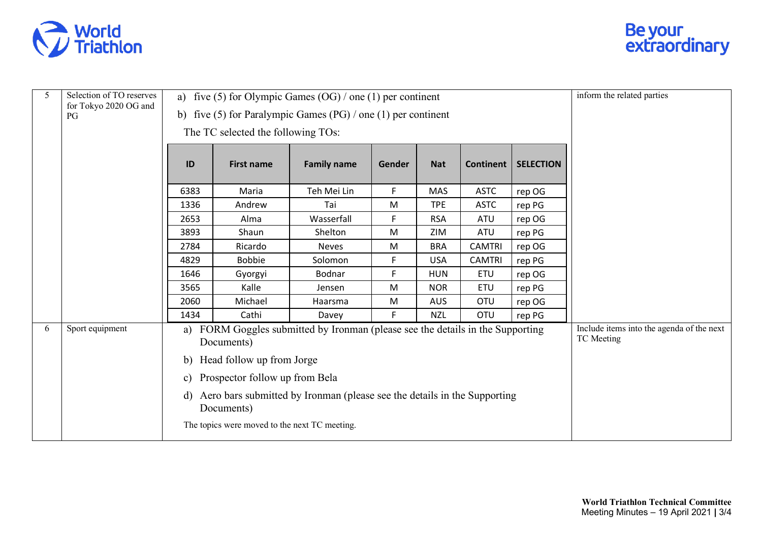



| 5 | Selection of TO reserves    | a) five (5) for Olympic Games $(OG) /$ one (1) per continent                                                                         |                                               |                    |        |            |                  | inform the related parties                              |  |
|---|-----------------------------|--------------------------------------------------------------------------------------------------------------------------------------|-----------------------------------------------|--------------------|--------|------------|------------------|---------------------------------------------------------|--|
|   | for Tokyo 2020 OG and<br>PG | b) five (5) for Paralympic Games (PG) / one (1) per continent                                                                        |                                               |                    |        |            |                  |                                                         |  |
|   |                             |                                                                                                                                      | The TC selected the following TOs:            |                    |        |            |                  |                                                         |  |
|   |                             | ID                                                                                                                                   | <b>First name</b>                             | <b>Family name</b> | Gender | <b>Nat</b> | <b>Continent</b> | <b>SELECTION</b>                                        |  |
|   |                             | 6383                                                                                                                                 | Maria                                         | Teh Mei Lin        | F      | <b>MAS</b> | <b>ASTC</b>      | rep OG                                                  |  |
|   |                             | 1336                                                                                                                                 | Andrew                                        | Tai                | M      | <b>TPE</b> | <b>ASTC</b>      | rep PG                                                  |  |
|   |                             | 2653                                                                                                                                 | Alma                                          | Wasserfall         | F      | <b>RSA</b> | ATU              | rep OG                                                  |  |
|   |                             | 3893                                                                                                                                 | Shaun                                         | Shelton            | M      | ZIM        | ATU              | rep PG                                                  |  |
|   |                             | 2784                                                                                                                                 | Ricardo                                       | <b>Neves</b>       | M      | <b>BRA</b> | <b>CAMTRI</b>    | rep OG                                                  |  |
|   |                             | 4829                                                                                                                                 | <b>Bobbie</b>                                 | Solomon            | F      | <b>USA</b> | <b>CAMTRI</b>    | rep PG                                                  |  |
|   |                             | 1646                                                                                                                                 | Gyorgyi                                       | Bodnar             | F      | <b>HUN</b> | <b>ETU</b>       | rep OG                                                  |  |
|   |                             | 3565                                                                                                                                 | Kalle                                         | Jensen             | M      | <b>NOR</b> | <b>ETU</b>       | rep PG                                                  |  |
|   |                             | 2060                                                                                                                                 | Michael                                       | Haarsma            | M      | <b>AUS</b> | <b>OTU</b>       | rep OG                                                  |  |
|   |                             | 1434                                                                                                                                 | Cathi                                         | Davey              | F.     | <b>NZL</b> | <b>OTU</b>       | rep PG                                                  |  |
| 6 | Sport equipment             | FORM Goggles submitted by Ironman (please see the details in the Supporting<br>a)<br>Documents)                                      |                                               |                    |        |            |                  | Include items into the agenda of the next<br>TC Meeting |  |
|   |                             | Head follow up from Jorge<br>b)                                                                                                      |                                               |                    |        |            |                  |                                                         |  |
|   |                             | Prospector follow up from Bela<br>c)<br>Aero bars submitted by Ironman (please see the details in the Supporting<br>d)<br>Documents) |                                               |                    |        |            |                  |                                                         |  |
|   |                             |                                                                                                                                      |                                               |                    |        |            |                  |                                                         |  |
|   |                             |                                                                                                                                      | The topics were moved to the next TC meeting. |                    |        |            |                  |                                                         |  |